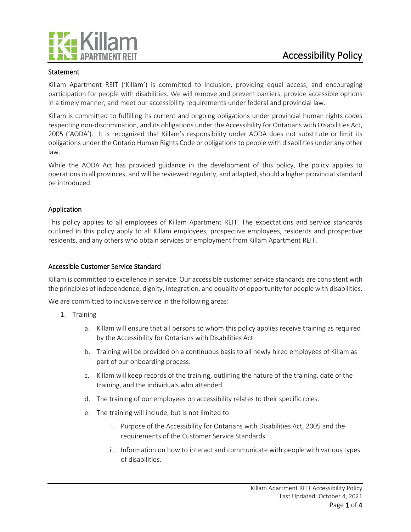

## Statement

Killam Apartment REIT ('Killam') is committed to inclusion, providing equal access, and encouraging participation for people with disabilities. We will remove and prevent barriers, provide accessible options in a timely manner, and meet our accessibility requirements under federal and provincial law.

Killam is committed to fulfilling its current and ongoing obligations under provincial human rights codes respecting non-discrimination, and its obligations under the Accessibility for Ontarians with Disabilities Act, 2005 ('AODA'). It is recognized that Killam's responsibility under AODA does not substitute or limit its obligations under the Ontario Human Rights Code or obligations to people with disabilities under any other law.

While the AODA Act has provided guidance in the development of this policy, the policy applies to operations in all provinces, and will be reviewed regularly, and adapted, should a higher provincial standard be introduced.

## Application

This policy applies to all employees of Killam Apartment REIT. The expectations and service standards outlined in this policy apply to all Killam employees, prospective employees, residents and prospective residents, and any others who obtain services or employment from Killam Apartment REIT.

## Accessible Customer Service Standard

Killam is committed to excellence in service. Our accessible customer service standards are consistent with the principles of independence, dignity, integration, and equality of opportunity for people with disabilities.

We are committed to inclusive service in the following areas:

- 1. Training
	- a. Killam will ensure that all persons to whom this policy applies receive training as required by the Accessibility for Ontarians with Disabilities Act.
	- b. Training will be provided on a continuous basis to all newly hired employees of Killam as part of our onboarding process.
	- c. Killam will keep records of the training, outlining the nature of the training, date of the training, and the individuals who attended.
	- d. The training of our employees on accessibility relates to their specific roles.
	- e. The training will include, but is not limited to:
		- i. Purpose of the Accessibility for Ontarians with Disabilities Act, 2005 and the requirements of the Customer Service Standards.
		- ii. Information on how to interact and communicate with people with various types of disabilities.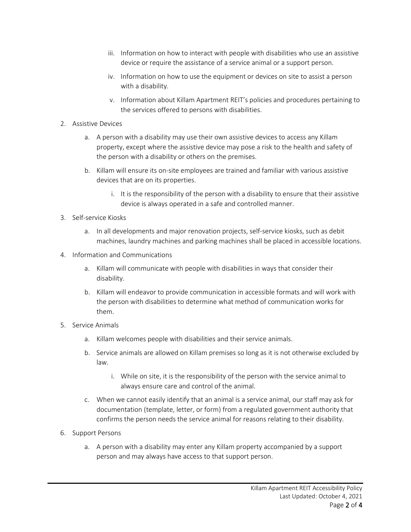- iii. Information on how to interact with people with disabilities who use an assistive device or require the assistance of a service animal or a support person.
- iv. Information on how to use the equipment or devices on site to assist a person with a disability.
- v. Information about Killam Apartment REIT's policies and procedures pertaining to the services offered to persons with disabilities.
- 2. Assistive Devices
	- a. A person with a disability may use their own assistive devices to access any Killam property, except where the assistive device may pose a risk to the health and safety of the person with a disability or others on the premises.
	- b. Killam will ensure its on-site employees are trained and familiar with various assistive devices that are on its properties.
		- i. It is the responsibility of the person with a disability to ensure that their assistive device is always operated in a safe and controlled manner.
- 3. Self-service Kiosks
	- a. In all developments and major renovation projects, self-service kiosks, such as debit machines, laundry machines and parking machines shall be placed in accessible locations.
- 4. Information and Communications
	- a. Killam will communicate with people with disabilities in ways that consider their disability.
	- b. Killam will endeavor to provide communication in accessible formats and will work with the person with disabilities to determine what method of communication works for them.
- 5. Service Animals
	- a. Killam welcomes people with disabilities and their service animals.
	- b. Service animals are allowed on Killam premises so long as it is not otherwise excluded by law.
		- i. While on site, it is the responsibility of the person with the service animal to always ensure care and control of the animal.
	- c. When we cannot easily identify that an animal is a service animal, our staff may ask for documentation (template, letter, or form) from a regulated government authority that confirms the person needs the service animal for reasons relating to their disability.
- 6. Support Persons
	- a. A person with a disability may enter any Killam property accompanied by a support person and may always have access to that support person.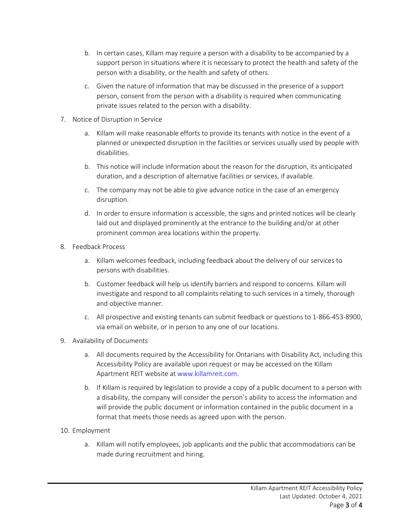- b. In certain cases, Killam may require a person with a disability to be accompanied by a support person in situations where it is necessary to protect the health and safety of the person with a disability, or the health and safety of others.
- c. Given the nature of information that may be discussed in the presence of a support person, consent from the person with a disability is required when communicating private issues related to the person with a disability.
- 7. Notice of Disruption in Service
	- a. Killam will make reasonable efforts to provide its tenants with notice in the event of a planned or unexpected disruption in the facilities or services usually used by people with disabilities.
	- b. This notice will include information about the reason for the disruption, its anticipated duration, and a description of alternative facilities or services, if available.
	- c. The company may not be able to give advance notice in the case of an emergency disruption.
	- d. In order to ensure information is accessible, the signs and printed notices will be clearly laid out and displayed prominently at the entrance to the building and/or at other prominent common area locations within the property.
- 8. Feedback Process
	- a. Killam welcomes feedback, including feedback about the delivery of our services to persons with disabilities.
	- b. Customer feedback will help us identify barriers and respond to concerns. Killam will investigate and respond to all complaints relating to such services in a timely, thorough and objective manner.
	- c. All prospective and existing tenants can submit feedback or questions to 1-866-453-8900, via email on website, or in person to any one of our locations.
- 9. Availability of Documents
	- a. All documents required by the Accessibility for Ontarians with Disability Act, including this Accessibility Policy are available upon request or may be accessed on the Killam Apartment REIT website a[t www.killamreit.com.](http://www.killamreit.com/)
	- b. If Killam is required by legislation to provide a copy of a public document to a person with a disability, the company will consider the person's ability to access the information and will provide the public document or information contained in the public document in a format that meets those needs as agreed upon with the person.
- 10. Employment
	- a. Killam will notify employees, job applicants and the public that accommodations can be made during recruitment and hiring.